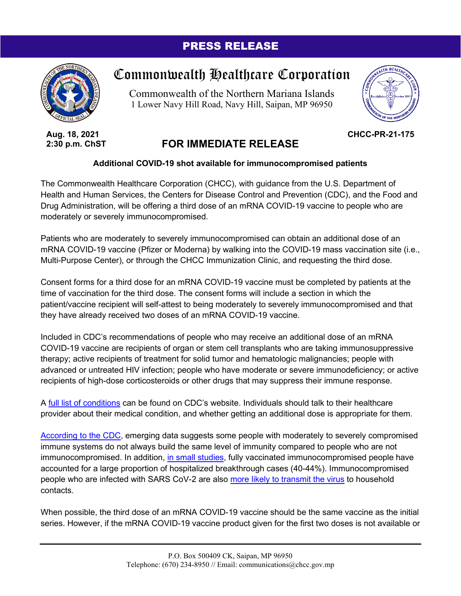## PRESS RELEASE



Commonwealth Healthcare Corporation

Commonwealth of the Northern Mariana Islands 1 Lower Navy Hill Road, Navy Hill, Saipan, MP 96950



**CHCC-PR-21-175**

**Aug. 18, 2021 2:30 p.m. ChST**

## **FOR IMMEDIATE RELEASE**

## **Additional COVID-19 shot available for immunocompromised patients**

The Commonwealth Healthcare Corporation (CHCC), with guidance from the U.S. Department of Health and Human Services, the Centers for Disease Control and Prevention (CDC), and the Food and Drug Administration, will be offering a third dose of an mRNA COVID-19 vaccine to people who are moderately or severely immunocompromised.

Patients who are moderately to severely immunocompromised can obtain an additional dose of an mRNA COVID-19 vaccine (Pfizer or Moderna) by walking into the COVID-19 mass vaccination site (i.e., Multi-Purpose Center), or through the CHCC Immunization Clinic, and requesting the third dose.

Consent forms for a third dose for an mRNA COVID-19 vaccine must be completed by patients at the time of vaccination for the third dose. The consent forms will include a section in which the patient/vaccine recipient will self-attest to being moderately to severely immunocompromised and that they have already received two doses of an mRNA COVID-19 vaccine.

Included in CDC's recommendations of people who may receive an additional dose of an mRNA COVID-19 vaccine are recipients of organ or stem cell transplants who are taking immunosuppressive therapy; active recipients of treatment for solid tumor and hematologic malignancies; people with advanced or untreated HIV infection; people who have moderate or severe immunodeficiency; or active recipients of high-dose corticosteroids or other drugs that may suppress their immune response.

A [full list of conditions](https://www.cdc.gov/coronavirus/2019-ncov/vaccines/recommendations/immuno.html) can be found on CDC's website. Individuals should talk to their healthcare provider about their medical condition, and whether getting an additional dose is appropriate for them.

[According to the CDC,](https://www.cdc.gov/media/releases/2021/s0813-additional-mRNA-mrna-dose.html) emerging data suggests some people with moderately to severely compromised immune systems do not always build the same level of immunity compared to people who are not immunocompromised. In addition, [in small studies,](https://www.cdc.gov/vaccines/acip/meetings/downloads/slides-2021-07/07-COVID-Oliver-508.pdf) fully vaccinated immunocompromised people have accounted for a large proportion of hospitalized breakthrough cases (40-44%). Immunocompromised people who are infected with SARS CoV-2 are also [more likely to transmit the virus](https://www.cdc.gov/vaccines/acip/meetings/downloads/slides-2021-07/07-COVID-Oliver-508.pdf) to household contacts.

When possible, the third dose of an mRNA COVID-19 vaccine should be the same vaccine as the initial series. However, if the mRNA COVID-19 vaccine product given for the first two doses is not available or